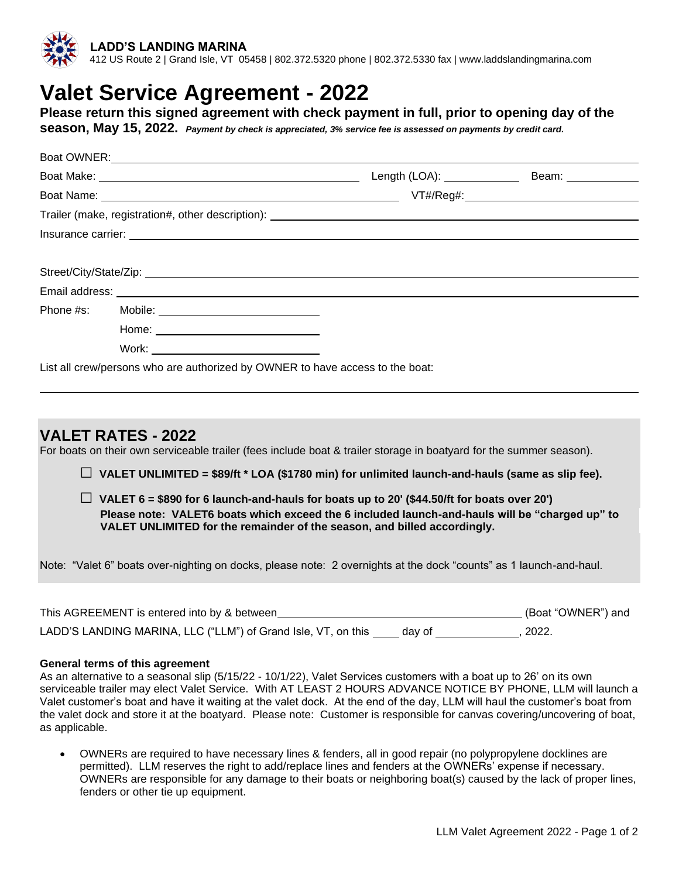

# **Valet Service Agreement - 2022**

**Please return this signed agreement with check payment in full, prior to opening day of the** 

**season, May 15, 2022.** *Payment by check is appreciated, 3% service fee is assessed on payments by credit card.*

| Boat OWNER: New York Contract of the Contract of the Contract of the Contract of the Contract of the Contract of the Contract of the Contract of the Contract of the Contract of the Contract of the Contract of the Contract |                                                                                                                                                                                                                               |  |
|-------------------------------------------------------------------------------------------------------------------------------------------------------------------------------------------------------------------------------|-------------------------------------------------------------------------------------------------------------------------------------------------------------------------------------------------------------------------------|--|
|                                                                                                                                                                                                                               |                                                                                                                                                                                                                               |  |
|                                                                                                                                                                                                                               |                                                                                                                                                                                                                               |  |
|                                                                                                                                                                                                                               |                                                                                                                                                                                                                               |  |
|                                                                                                                                                                                                                               |                                                                                                                                                                                                                               |  |
|                                                                                                                                                                                                                               |                                                                                                                                                                                                                               |  |
|                                                                                                                                                                                                                               | Insurance carrier: example and a series of the series of the series of the series of the series of the series of the series of the series of the series of the series of the series of the series of the series of the series |  |
|                                                                                                                                                                                                                               |                                                                                                                                                                                                                               |  |
|                                                                                                                                                                                                                               |                                                                                                                                                                                                                               |  |
|                                                                                                                                                                                                                               |                                                                                                                                                                                                                               |  |
|                                                                                                                                                                                                                               |                                                                                                                                                                                                                               |  |
|                                                                                                                                                                                                                               |                                                                                                                                                                                                                               |  |

## **VALET RATES - 2022**

For boats on their own serviceable trailer (fees include boat & trailer storage in boatyard for the summer season).

**□ VALET UNLIMITED = \$89/ft \* LOA (\$1780 min) for unlimited launch-and-hauls (same as slip fee).**

 $\Box$  VALET 6 = \$890 for 6 launch-and-hauls for boats up to 20' (\$44.50/ft for boats over 20') **Please note: VALET6 boats which exceed the 6 included launch-and-hauls will be "charged up" to VALET UNLIMITED for the remainder of the season, and billed accordingly.**

Note: "Valet 6" boats over-nighting on docks, please note: 2 overnights at the dock "counts" as 1 launch-and-haul.

| This AGREEMENT is entered into by & between                   | (Boat "OWNER") and |       |
|---------------------------------------------------------------|--------------------|-------|
| LADD'S LANDING MARINA, LLC ("LLM") of Grand Isle, VT, on this | dav of             | 2022. |

#### **General terms of this agreement**

As an alternative to a seasonal slip (5/15/22 - 10/1/22), Valet Services customers with a boat up to 26' on its own serviceable trailer may elect Valet Service. With AT LEAST 2 HOURS ADVANCE NOTICE BY PHONE, LLM will launch a Valet customer's boat and have it waiting at the valet dock. At the end of the day, LLM will haul the customer's boat from the valet dock and store it at the boatyard. Please note: Customer is responsible for canvas covering/uncovering of boat, as applicable.

• OWNERs are required to have necessary lines & fenders, all in good repair (no polypropylene docklines are permitted). LLM reserves the right to add/replace lines and fenders at the OWNERs' expense if necessary. OWNERs are responsible for any damage to their boats or neighboring boat(s) caused by the lack of proper lines, fenders or other tie up equipment.